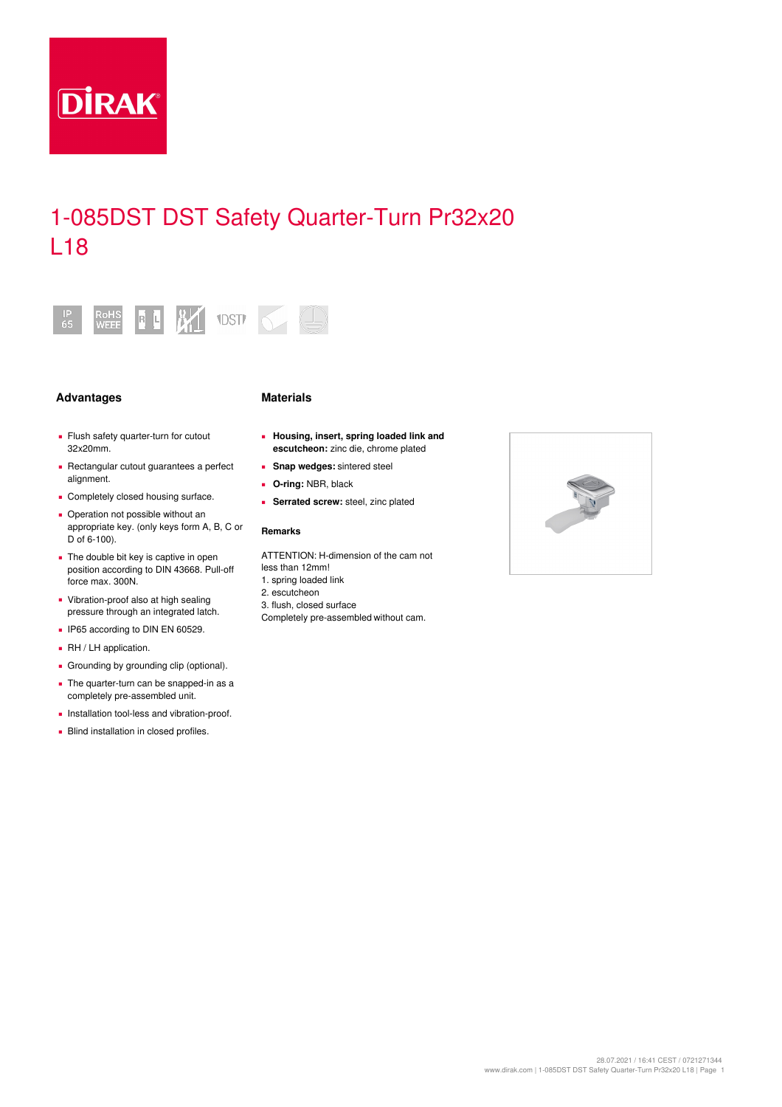

# 1-085DST DST Safety Quarter-Turn Pr32x20 L18



## Advantages **Materials**

- **E** Flush safety quarter-turn for cutout 32x20mm.
- Rectangular cutout guarantees a perfect alignment.
- **Completely closed housing surface.**
- Operation not possible without an appropriate key. (only keys form A, B, C or D of 6-100).
- The double bit key is captive in open position according to DIN 43668. Pull-off force max. 300N.
- Vibration-proof also at high sealing pressure through an integrated latch.
- **IP65 according to DIN EN 60529.**
- $\bullet$  RH / LH application.
- **Grounding by grounding clip (optional).**
- The quarter-turn can be snapped-in as a completely pre-assembled unit.
- **·** Installation tool-less and vibration-proof.
- **Blind installation in closed profiles.**

## **Housing, insert, spring loaded link and ▪ escutcheon:** zinc die, chrome plated

- **▪ Snap wedges:** sintered steel
- **▪ O-ring:** NBR, black
- **▪ Serrated screw:** steel, zinc plated

## **Remarks**

ATTENTION: H-dimension of the cam not less than 12mm!

- 1. spring loaded link
- 2. escutcheon 3. flush, closed surface
- Completely pre-assembled without cam.

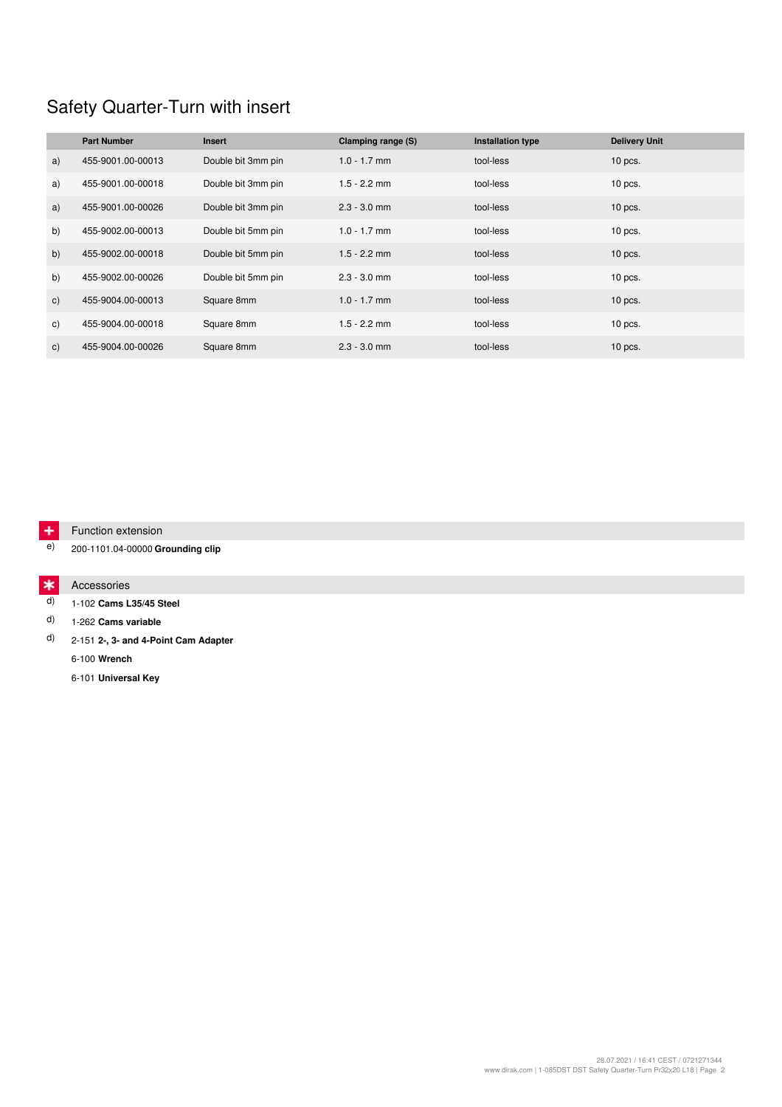# Safety Quarter-Turn with insert

|                | <b>Part Number</b> | <b>Insert</b>      | Clamping range (S) | Installation type | <b>Delivery Unit</b> |
|----------------|--------------------|--------------------|--------------------|-------------------|----------------------|
| a)             | 455-9001.00-00013  | Double bit 3mm pin | $1.0 - 1.7$ mm     | tool-less         | $10$ pcs.            |
| a)             | 455-9001.00-00018  | Double bit 3mm pin | $1.5 - 2.2$ mm     | tool-less         | $10$ pcs.            |
| a)             | 455-9001.00-00026  | Double bit 3mm pin | $2.3 - 3.0$ mm     | tool-less         | $10$ pcs.            |
| b)             | 455-9002.00-00013  | Double bit 5mm pin | $1.0 - 1.7$ mm     | tool-less         | $10$ pcs.            |
| b)             | 455-9002.00-00018  | Double bit 5mm pin | $1.5 - 2.2$ mm     | tool-less         | $10$ pcs.            |
| b)             | 455-9002.00-00026  | Double bit 5mm pin | $2.3 - 3.0$ mm     | tool-less         | $10$ pcs.            |
| c)             | 455-9004.00-00013  | Square 8mm         | $1.0 - 1.7$ mm     | tool-less         | $10$ pcs.            |
| C)             | 455-9004.00-00018  | Square 8mm         | $1.5 - 2.2$ mm     | tool-less         | $10$ pcs.            |
| $\mathsf{C}$ ) | 455-9004.00-00026  | Square 8mm         | $2.3 - 3.0$ mm     | tool-less         | $10$ pcs.            |

#### $+$ Function extension

e) 200-1101.04-00000 **Grounding clip**

#### $\ast$ Accessories

d) 1-102 **Cams L35/45 Steel**

d) 1-262 **Cams variable**

d) 2-151 **2-, 3- and 4-Point Cam Adapter**

6-100 **Wrench**

6-101 **Universal Key**